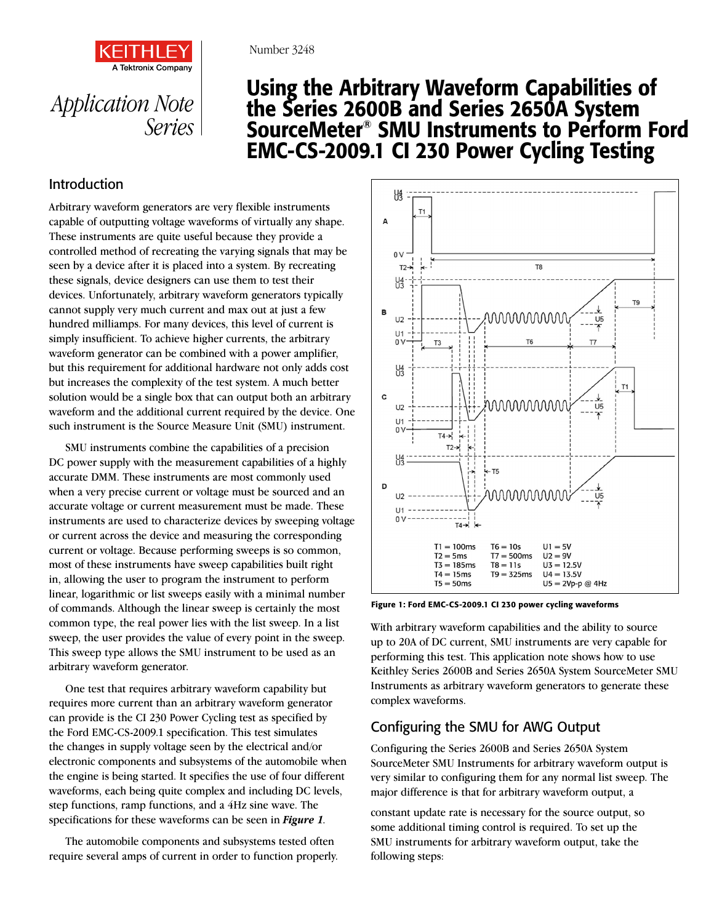



# Using the Arbitrary Waveform Capabilities of the Series 2600B and Series 2650A System SourceMeter® SMU Instruments to Perform Ford EMC-CS-2009.1 CI 230 Power Cycling Testing

## Introduction

Arbitrary waveform generators are very flexible instruments capable of outputting voltage waveforms of virtually any shape. These instruments are quite useful because they provide a controlled method of recreating the varying signals that may be seen by a device after it is placed into a system. By recreating these signals, device designers can use them to test their devices. Unfortunately, arbitrary waveform generators typically cannot supply very much current and max out at just a few hundred milliamps. For many devices, this level of current is simply insufficient. To achieve higher currents, the arbitrary waveform generator can be combined with a power amplifier, but this requirement for additional hardware not only adds cost but increases the complexity of the test system. A much better solution would be a single box that can output both an arbitrary waveform and the additional current required by the device. One such instrument is the Source Measure Unit (SMU) instrument.

SMU instruments combine the capabilities of a precision DC power supply with the measurement capabilities of a highly accurate DMM. These instruments are most commonly used when a very precise current or voltage must be sourced and an accurate voltage or current measurement must be made. These instruments are used to characterize devices by sweeping voltage or current across the device and measuring the corresponding current or voltage. Because performing sweeps is so common, most of these instruments have sweep capabilities built right in, allowing the user to program the instrument to perform linear, logarithmic or list sweeps easily with a minimal number of commands. Although the linear sweep is certainly the most common type, the real power lies with the list sweep. In a list sweep, the user provides the value of every point in the sweep. This sweep type allows the SMU instrument to be used as an arbitrary waveform generator.

One test that requires arbitrary waveform capability but requires more current than an arbitrary waveform generator can provide is the CI 230 Power Cycling test as specified by the Ford EMC-CS-2009.1 specification. This test simulates the changes in supply voltage seen by the electrical and/or electronic components and subsystems of the automobile when the engine is being started. It specifies the use of four different waveforms, each being quite complex and including DC levels, step functions, ramp functions, and a 4Hz sine wave. The specifications for these waveforms can be seen in *[Figure 1](#page-0-0)*.

The automobile components and subsystems tested often require several amps of current in order to function properly.



<span id="page-0-0"></span>Figure 1: Ford EMC-CS-2009.1 CI 230 power cycling waveforms

With arbitrary waveform capabilities and the ability to source up to 20A of DC current, SMU instruments are very capable for performing this test. This application note shows how to use Keithley Series 2600B and Series 2650A System SourceMeter SMU Instruments as arbitrary waveform generators to generate these complex waveforms.

# Configuring the SMU for AWG Output

Configuring the Series 2600B and Series 2650A System SourceMeter SMU Instruments for arbitrary waveform output is very similar to configuring them for any normal list sweep. The major difference is that for arbitrary waveform output, a

constant update rate is necessary for the source output, so some additional timing control is required. To set up the SMU instruments for arbitrary waveform output, take the following steps: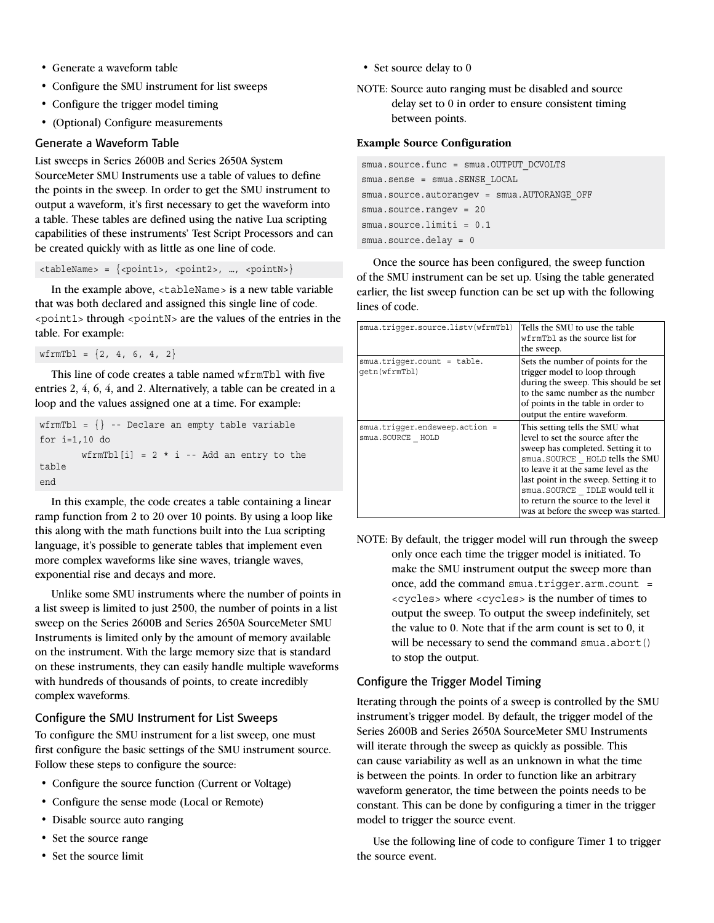- Generate a waveform table
- Configure the SMU instrument for list sweeps
- Configure the trigger model timing
- (Optional) Configure measurements

#### Generate a Waveform Table

List sweeps in Series 2600B and Series 2650A System SourceMeter SMU Instruments use a table of values to define the points in the sweep. In order to get the SMU instrument to output a waveform, it's first necessary to get the waveform into a table. These tables are defined using the native Lua scripting capabilities of these instruments' Test Script Processors and can be created quickly with as little as one line of code.

<tableName> = {<point1>, <point2>, …, <pointN>}

In the example above, <tableName> is a new table variable that was both declared and assigned this single line of code. <point1> through <pointN> are the values of the entries in the table. For example:

 $wfrmTbl = \{2, 4, 6, 4, 2\}$ 

This line of code creates a table named wfrmTbl with five entries 2, 4, 6, 4, and 2. Alternatively, a table can be created in a loop and the values assigned one at a time. For example:

```
wfrmTbl = \{\} -- Declare an empty table variable
for i=1,10 do
        wfrmTbl[i] = 2 * i -- Add an entry to the
table
end
```
In this example, the code creates a table containing a linear ramp function from 2 to 20 over 10 points. By using a loop like this along with the math functions built into the Lua scripting language, it's possible to generate tables that implement even more complex waveforms like sine waves, triangle waves, exponential rise and decays and more.

Unlike some SMU instruments where the number of points in a list sweep is limited to just 2500, the number of points in a list sweep on the Series 2600B and Series 2650A SourceMeter SMU Instruments is limited only by the amount of memory available on the instrument. With the large memory size that is standard on these instruments, they can easily handle multiple waveforms with hundreds of thousands of points, to create incredibly complex waveforms.

### Configure the SMU Instrument for List Sweeps

To configure the SMU instrument for a list sweep, one must first configure the basic settings of the SMU instrument source. Follow these steps to configure the source:

- Configure the source function (Current or Voltage)
- Configure the sense mode (Local or Remote)
- Disable source auto ranging
- Set the source range
- Set the source limit
- Set source delay to 0
- NOTE: Source auto ranging must be disabled and source delay set to 0 in order to ensure consistent timing between points.

#### **Example Source Configuration**

```
smua.source.func = smua.OUTPUT_DCVOLTS
smua.sense = smua.SENSE_LOCAL
smua.source.autorangev = smua.AUTORANGE OFF
smua.source.rangev = 20
smua.source.limiti = 0.1
smua.source.delay = 0
```
Once the source has been configured, the sweep function of the SMU instrument can be set up. Using the table generated earlier, the list sweep function can be set up with the following lines of code.

| smua.trigger.source.listy(wfrmTbl)                 | Tells the SMU to use the table<br>wfrmTbl as the source list for<br>the sweep.                                                                                                                                                                                                                                                                   |
|----------------------------------------------------|--------------------------------------------------------------------------------------------------------------------------------------------------------------------------------------------------------------------------------------------------------------------------------------------------------------------------------------------------|
| $smua.triqqer.count = table.$<br>qetn(wfrmTbl)     | Sets the number of points for the<br>trigger model to loop through<br>during the sweep. This should be set<br>to the same number as the number<br>of points in the table in order to<br>output the entire waveform.                                                                                                                              |
| smua.triqqer.endsweep.action =<br>smua.SOURCE HOLD | This setting tells the SMU what<br>level to set the source after the<br>sweep has completed. Setting it to<br>smua.SOURCE HOLD tells the SMU<br>to leave it at the same level as the<br>last point in the sweep. Setting it to<br>smua.SOURCE IDLE would tell it<br>to return the source to the level it<br>was at before the sweep was started. |

NOTE: By default, the trigger model will run through the sweep only once each time the trigger model is initiated. To make the SMU instrument output the sweep more than once, add the command smua.trigger.arm.count = <cycles> where <cycles> is the number of times to output the sweep. To output the sweep indefinitely, set the value to 0. Note that if the arm count is set to 0, it will be necessary to send the command smua.abort() to stop the output.

#### Configure the Trigger Model Timing

Iterating through the points of a sweep is controlled by the SMU instrument's trigger model. By default, the trigger model of the Series 2600B and Series 2650A SourceMeter SMU Instruments will iterate through the sweep as quickly as possible. This can cause variability as well as an unknown in what the time is between the points. In order to function like an arbitrary waveform generator, the time between the points needs to be constant. This can be done by configuring a timer in the trigger model to trigger the source event.

Use the following line of code to configure Timer 1 to trigger the source event.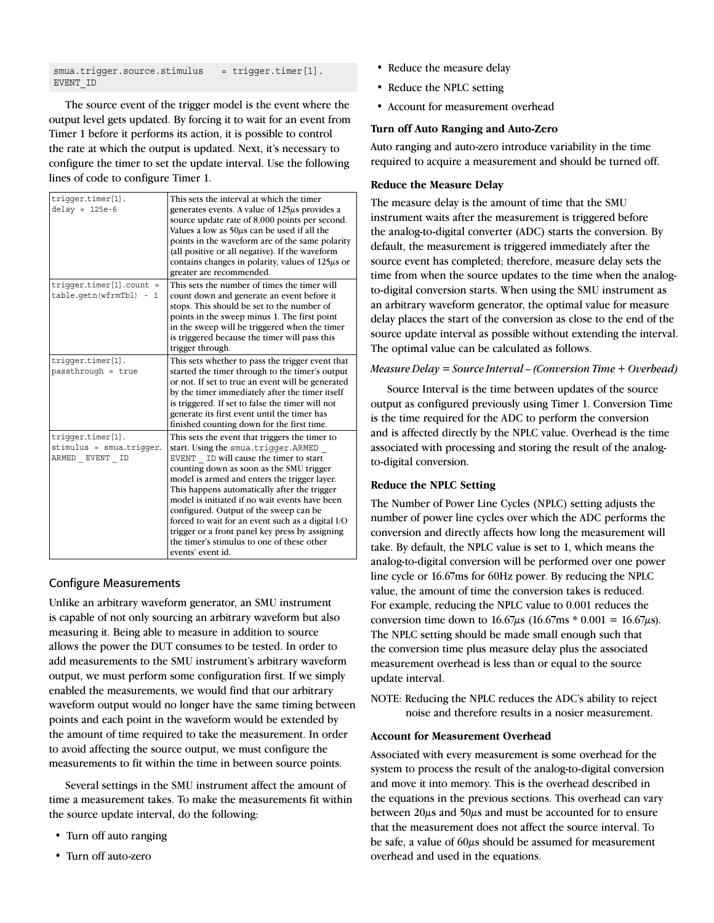smua.trigger.source.stimulus = trigger.timer[1]. EVENT\_ID

The source event of the trigger model is the event where the output level gets updated. By forcing it to wait for an event from Timer 1 before it performs its action, it is possible to control the rate at which the output is updated. Next, it's necessary to configure the timer to set the update interval. Use the following lines of code to configure Timer 1.

| triqqer.timer[1].<br>$delay = 125e-6$                                        | This sets the interval at which the timer<br>generates events. A value of 125µs provides a<br>source update rate of 8,000 points per second.<br>Values a low as $50\mu s$ can be used if all the<br>points in the waveform are of the same polarity<br>(all positive or all negative). If the waveform<br>contains changes in polarity, values of $125\mu s$ or<br>greater are recommended.                                                                                                                                                        |
|------------------------------------------------------------------------------|----------------------------------------------------------------------------------------------------------------------------------------------------------------------------------------------------------------------------------------------------------------------------------------------------------------------------------------------------------------------------------------------------------------------------------------------------------------------------------------------------------------------------------------------------|
| $trigger.time[1].count =$<br>table.getn(wfrmTbl)<br>$\sim$<br>$\overline{1}$ | This sets the number of times the timer will<br>count down and generate an event before it<br>stops. This should be set to the number of<br>points in the sweep minus 1. The first point<br>in the sweep will be triggered when the timer<br>is triggered because the timer will pass this<br>trigger through.                                                                                                                                                                                                                                     |
| triqqer.timer[1].<br>passthrough = true                                      | This sets whether to pass the trigger event that<br>started the timer through to the timer's output<br>or not. If set to true an event will be generated<br>by the timer immediately after the timer itself<br>is triggered. If set to false the timer will not<br>generate its first event until the timer has<br>finished counting down for the first time.                                                                                                                                                                                      |
| triqqer.timer[1].<br>stimulus = smua.triqqer.<br>ARMED EVENT ID              | This sets the event that triggers the timer to<br>start. Using the smua.triqqer.ARMED<br>EVENT ID will cause the timer to start<br>counting down as soon as the SMU trigger<br>model is armed and enters the trigger layer.<br>This happens automatically after the trigger<br>model is initiated if no wait events have been<br>configured. Output of the sweep can be<br>forced to wait for an event such as a digital I/O<br>trigger or a front panel key press by assigning<br>the timer's stimulus to one of these other<br>events' event id. |

#### Configure Measurements

Unlike an arbitrary waveform generator, an SMU instrument is capable of not only sourcing an arbitrary waveform but also measuring it. Being able to measure in addition to source allows the power the DUT consumes to be tested. In order to add measurements to the SMU instrument's arbitrary waveform output, we must perform some configuration first. If we simply enabled the measurements, we would find that our arbitrary waveform output would no longer have the same timing between points and each point in the waveform would be extended by the amount of time required to take the measurement. In order to avoid affecting the source output, we must configure the measurements to fit within the time in between source points.

Several settings in the SMU instrument affect the amount of time a measurement takes. To make the measurements fit within the source update interval, do the following:

- Turn off auto ranging
- Turn off auto-zero
- Reduce the measure delay
- Reduce the NPLC setting
- Account for measurement overhead

#### **Turn off Auto Ranging and Auto-Zero**

Auto ranging and auto-zero introduce variability in the time required to acquire a measurement and should be turned off.

#### **Reduce the Measure Delay**

The measure delay is the amount of time that the SMU instrument waits after the measurement is triggered before the analog-to-digital converter (ADC) starts the conversion. By default, the measurement is triggered immediately after the source event has completed; therefore, measure delay sets the time from when the source updates to the time when the analogto-digital conversion starts. When using the SMU instrument as an arbitrary waveform generator, the optimal value for measure delay places the start of the conversion as close to the end of the source update interval as possible without extending the interval. The optimal value can be calculated as follows.

#### *Measure Delay = Source Interval – (Conversion Time + Overhead)*

Source Interval is the time between updates of the source output as configured previously using Timer 1. Conversion Time is the time required for the ADC to perform the conversion and is affected directly by the NPLC value. Overhead is the time associated with processing and storing the result of the analogto-digital conversion.

#### **Reduce the NPLC Setting**

The Number of Power Line Cycles (NPLC) setting adjusts the number of power line cycles over which the ADC performs the conversion and directly affects how long the measurement will take. By default, the NPLC value is set to 1, which means the analog-to-digital conversion will be performed over one power line cycle or 16.67ms for 60Hz power. By reducing the NPLC value, the amount of time the conversion takes is reduced. For example, reducing the NPLC value to 0.001 reduces the conversion time down to  $16.67\mu s$  (16.67ms \* 0.001 = 16.67 $\mu$ s). The NPLC setting should be made small enough such that the conversion time plus measure delay plus the associated measurement overhead is less than or equal to the source update interval.

NOTE: Reducing the NPLC reduces the ADC's ability to reject noise and therefore results in a nosier measurement.

#### **Account for Measurement Overhead**

Associated with every measurement is some overhead for the system to process the result of the analog-to-digital conversion and move it into memory. This is the overhead described in the equations in the previous sections. This overhead can vary between 20µs and 50µs and must be accounted for to ensure that the measurement does not affect the source interval. To be safe, a value of 60µs should be assumed for measurement overhead and used in the equations.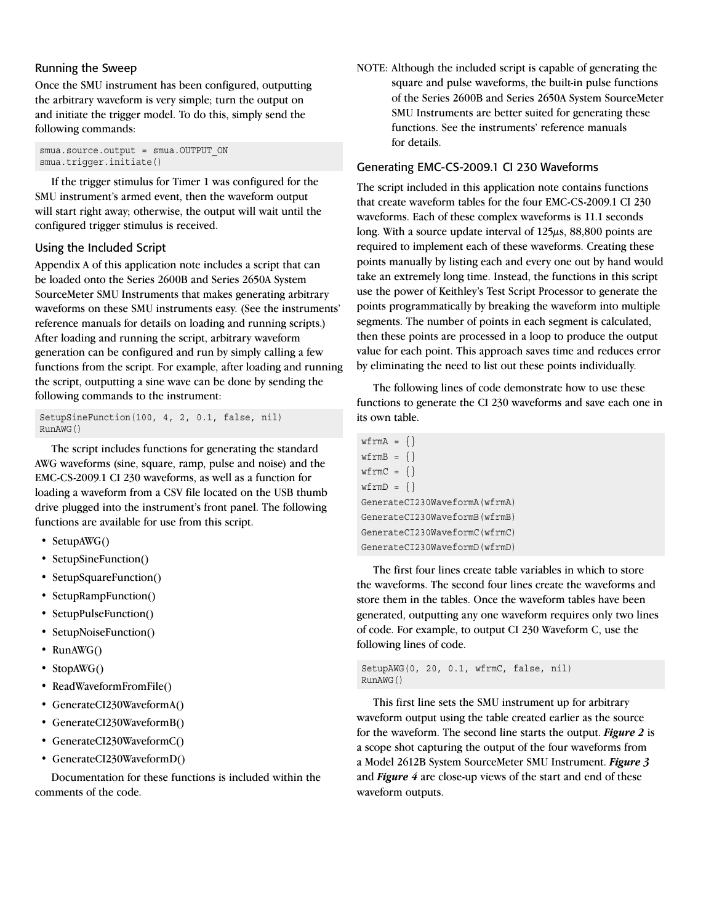#### Running the Sweep

Once the SMU instrument has been configured, outputting the arbitrary waveform is very simple; turn the output on and initiate the trigger model. To do this, simply send the following commands:

smua.source.output = smua.OUTPUT ON smua.trigger.initiate()

If the trigger stimulus for Timer 1 was configured for the SMU instrument's armed event, then the waveform output will start right away; otherwise, the output will wait until the configured trigger stimulus is received.

#### Using the Included Script

Appendix A of this application note includes a script that can be loaded onto the Series 2600B and Series 2650A System SourceMeter SMU Instruments that makes generating arbitrary waveforms on these SMU instruments easy. (See the instruments' reference manuals for details on loading and running scripts.) After loading and running the script, arbitrary waveform generation can be configured and run by simply calling a few functions from the script. For example, after loading and running the script, outputting a sine wave can be done by sending the following commands to the instrument:

SetupSineFunction(100, 4, 2, 0.1, false, nil) RunAWG()

The script includes functions for generating the standard AWG waveforms (sine, square, ramp, pulse and noise) and the EMC-CS-2009.1 CI 230 waveforms, as well as a function for loading a waveform from a CSV file located on the USB thumb drive plugged into the instrument's front panel. The following functions are available for use from this script.

- SetupAWG()
- SetupSineFunction()
- SetupSquareFunction()
- SetupRampFunction()
- SetupPulseFunction()
- SetupNoiseFunction()
- RunAWG()
- StopAWG()
- ReadWaveformFromFile()
- GenerateCI230WaveformA()
- GenerateCI230WaveformB()
- GenerateCI230WaveformC()
- GenerateCI230WaveformD()

Documentation for these functions is included within the comments of the code.

NOTE: Although the included script is capable of generating the square and pulse waveforms, the built-in pulse functions of the Series 2600B and Series 2650A System SourceMeter SMU Instruments are better suited for generating these functions. See the instruments' reference manuals for details.

#### Generating EMC-CS-2009.1 CI 230 Waveforms

The script included in this application note contains functions that create waveform tables for the four EMC-CS-2009.1 CI 230 waveforms. Each of these complex waveforms is 11.1 seconds long. With a source update interval of 125µs, 88,800 points are required to implement each of these waveforms. Creating these points manually by listing each and every one out by hand would take an extremely long time. Instead, the functions in this script use the power of Keithley's Test Script Processor to generate the points programmatically by breaking the waveform into multiple segments. The number of points in each segment is calculated, then these points are processed in a loop to produce the output value for each point. This approach saves time and reduces error by eliminating the need to list out these points individually.

The following lines of code demonstrate how to use these functions to generate the CI 230 waveforms and save each one in its own table.

```
wfrmA = \{\}wfrmB = \{\}wfrmC = \{\}wfrmD = \{\}GenerateCI230WaveformA(wfrmA)
GenerateCI230WaveformB(wfrmB)
GenerateCI230WaveformC(wfrmC)
GenerateCI230WaveformD(wfrmD)
```
The first four lines create table variables in which to store the waveforms. The second four lines create the waveforms and store them in the tables. Once the waveform tables have been generated, outputting any one waveform requires only two lines of code. For example, to output CI 230 Waveform C, use the following lines of code.

```
SetupAWG(0, 20, 0.1, wfrmC, false, nil)
RunAWG()
```
This first line sets the SMU instrument up for arbitrary waveform output using the table created earlier as the source for the waveform. The second line starts the output. *[Figure 2](#page-4-0)* is a scope shot capturing the output of the four waveforms from a Model 2612B System SourceMeter SMU Instrument. *[Figure 3](#page-4-1)* and *[Figure 4](#page-4-2)* are close-up views of the start and end of these waveform outputs.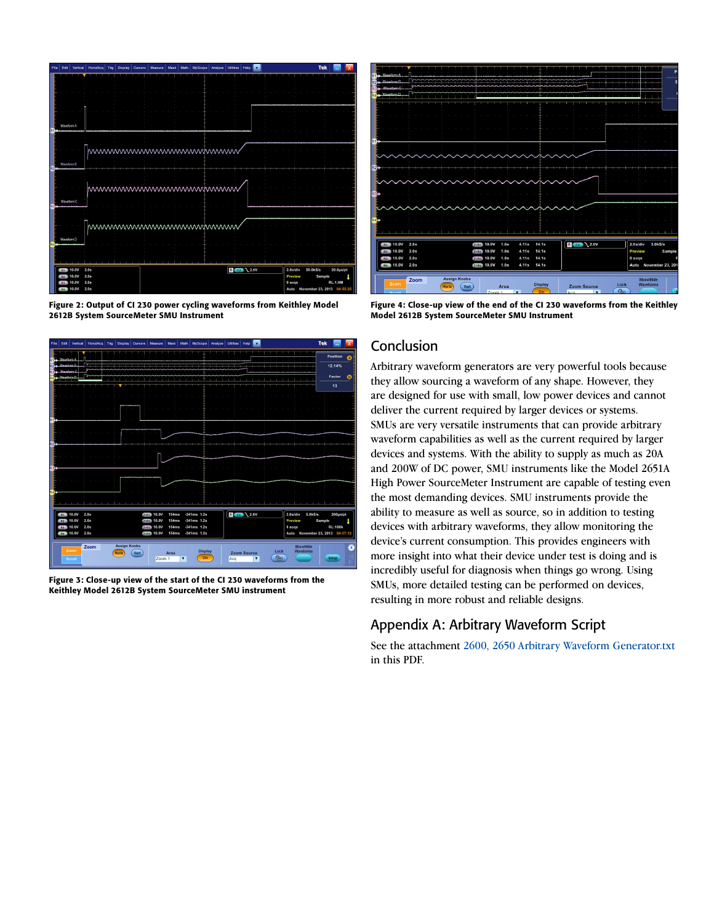

<span id="page-4-0"></span>Figure 2: Output of CI 230 power cycling waveforms from Keithley Model 2612B System SourceMeter SMU Instrument



<span id="page-4-1"></span>Figure 3: Close-up view of the start of the CI 230 waveforms from the Keithley Model 2612B System SourceMeter SMU instrument

| Wayeform A<br>R1<br><i>Mausfrem R.</i><br>Waveform C |              |                                      |                                         |                        |                      |                                       |                   |                                     |                       |
|------------------------------------------------------|--------------|--------------------------------------|-----------------------------------------|------------------------|----------------------|---------------------------------------|-------------------|-------------------------------------|-----------------------|
| Waveform D<br>m                                      |              |                                      |                                         |                        |                      |                                       |                   |                                     |                       |
|                                                      |              |                                      |                                         |                        |                      |                                       |                   |                                     |                       |
|                                                      |              |                                      |                                         |                        |                      |                                       |                   |                                     |                       |
| $R1$ .                                               |              |                                      |                                         |                        |                      |                                       |                   |                                     |                       |
|                                                      |              |                                      |                                         |                        |                      |                                       |                   |                                     |                       |
| R2 <sub>1</sub>                                      |              |                                      |                                         |                        |                      |                                       |                   |                                     |                       |
|                                                      |              |                                      |                                         |                        |                      |                                       |                   |                                     |                       |
| $R3 +$                                               |              |                                      |                                         |                        |                      |                                       |                   |                                     |                       |
|                                                      |              |                                      |                                         |                        |                      |                                       |                   |                                     |                       |
| RA                                                   |              |                                      |                                         |                        |                      |                                       |                   |                                     |                       |
|                                                      |              |                                      |                                         |                        |                      |                                       |                   |                                     |                       |
| <b>R1 10.0V</b><br>R <sub>2</sub> 10.0V              | 2.0s<br>2.0s |                                      | <b>Z1R1</b> 10.0V<br>1.0s<br>Z1R2 10.0V | 4.11s<br>4.11s<br>1.0s | 14.1s<br>14.1s       | $A$ $G2$ $2.6V$                       |                   | $2.0$ s/div<br>Preview              | 5.0kS/s<br>Sample     |
| R <sub>3</sub> 10.0V                                 | 2.0s         |                                      | <b>Z1R3</b> 10.0V<br>1.0s               | 4.11s                  | 14.1s                |                                       |                   | 0 acqs                              |                       |
| R4 10.0V                                             | 2.0s         |                                      | <b>Z1R4</b> 10.0V<br>1.0s               | 4.11s                  | <b>14.1s</b>         |                                       |                   |                                     | Auto November 23, 201 |
| Zoom                                                 | Zoom         | <b>Assign Knobs</b><br>Vert<br>Horiz | Area<br>$Z0$ om $1$                     | <b>F</b>               | <b>Display</b><br>On | <b>Zoom Source</b><br>Acc<br><b>F</b> | Lock<br>$\approx$ | <b>ShowHide</b><br><b>Waveforms</b> |                       |

<span id="page-4-2"></span>Figure 4: Close-up view of the end of the CI 230 waveforms from the Keithley Model 2612B System SourceMeter SMU Instrument

### **Conclusion**

Arbitrary waveform generators are very powerful tools because they allow sourcing a waveform of any shape. However, they are designed for use with small, low power devices and cannot deliver the current required by larger devices or systems. SMUs are very versatile instruments that can provide arbitrary waveform capabilities as well as the current required by larger devices and systems. With the ability to supply as much as 20A and 200W of DC power, SMU instruments like the Model 2651A High Power SourceMeter Instrument are capable of testing even the most demanding devices. SMU instruments provide the ability to measure as well as source, so in addition to testing devices with arbitrary waveforms, they allow monitoring the device's current consumption. This provides engineers with more insight into what their device under test is doing and is incredibly useful for diagnosis when things go wrong. Using SMUs, more detailed testing can be performed on devices, resulting in more robust and reliable designs.

### Appendix A: Arbitrary Waveform Script

See the attachment 2600, 2650 Arbitrary Waveform Generator.txt in this PDF.